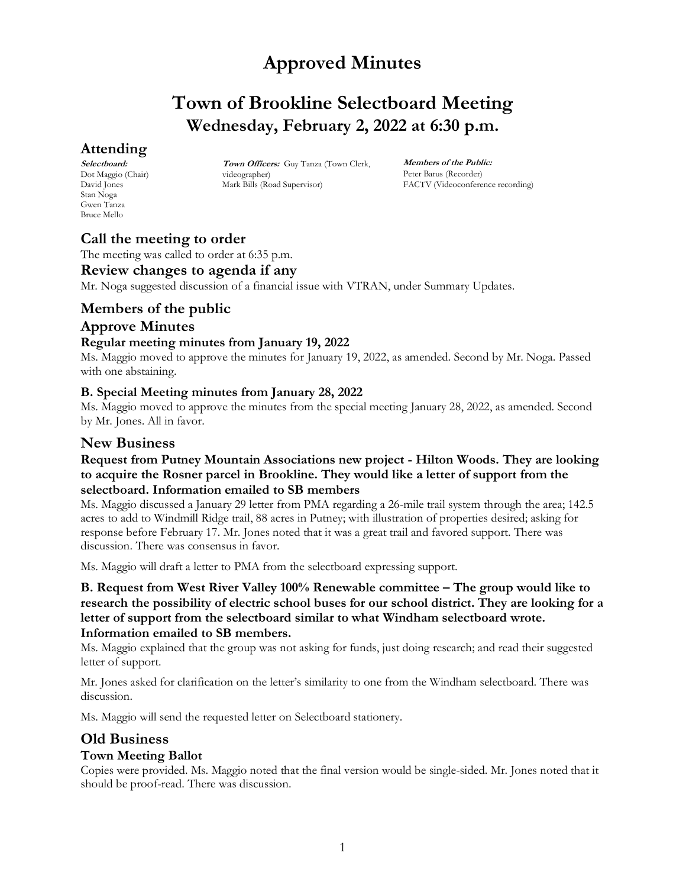# **Town of Brookline Selectboard Meeting Wednesday, February 2, 2022 at 6:30 p.m.**

## **Attending**

**Selectboard:** Dot Maggio (Chair) David Jones Stan Noga Gwen Tanza Bruce Mello

**Town Officers:** Guy Tanza (Town Clerk, videographer) Mark Bills (Road Supervisor)

**Members of the Public:** Peter Barus (Recorder) FACTV (Videoconference recording)

## **Call the meeting to order**

The meeting was called to order at 6:35 p.m.

## **Review changes to agenda if any**

Mr. Noga suggested discussion of a financial issue with VTRAN, under Summary Updates.

## **Members of the public**

## **Approve Minutes**

## **Regular meeting minutes from January 19, 2022**

Ms. Maggio moved to approve the minutes for January 19, 2022, as amended. Second by Mr. Noga. Passed with one abstaining.

## **B. Special Meeting minutes from January 28, 2022**

Ms. Maggio moved to approve the minutes from the special meeting January 28, 2022, as amended. Second by Mr. Jones. All in favor.

## **New Business**

## **Request from Putney Mountain Associations new project - Hilton Woods. They are looking to acquire the Rosner parcel in Brookline. They would like a letter of support from the selectboard. Information emailed to SB members**

Ms. Maggio discussed a January 29 letter from PMA regarding a 26-mile trail system through the area; 142.5 acres to add to Windmill Ridge trail, 88 acres in Putney; with illustration of properties desired; asking for response before February 17. Mr. Jones noted that it was a great trail and favored support. There was discussion. There was consensus in favor.

Ms. Maggio will draft a letter to PMA from the selectboard expressing support.

## **B. Request from West River Valley 100% Renewable committee – The group would like to research the possibility of electric school buses for our school district. They are looking for a letter of support from the selectboard similar to what Windham selectboard wrote. Information emailed to SB members.**

Ms. Maggio explained that the group was not asking for funds, just doing research; and read their suggested letter of support.

Mr. Jones asked for clarification on the letter's similarity to one from the Windham selectboard. There was discussion.

Ms. Maggio will send the requested letter on Selectboard stationery.

## **Old Business**

## **Town Meeting Ballot**

Copies were provided. Ms. Maggio noted that the final version would be single-sided. Mr. Jones noted that it should be proof-read. There was discussion.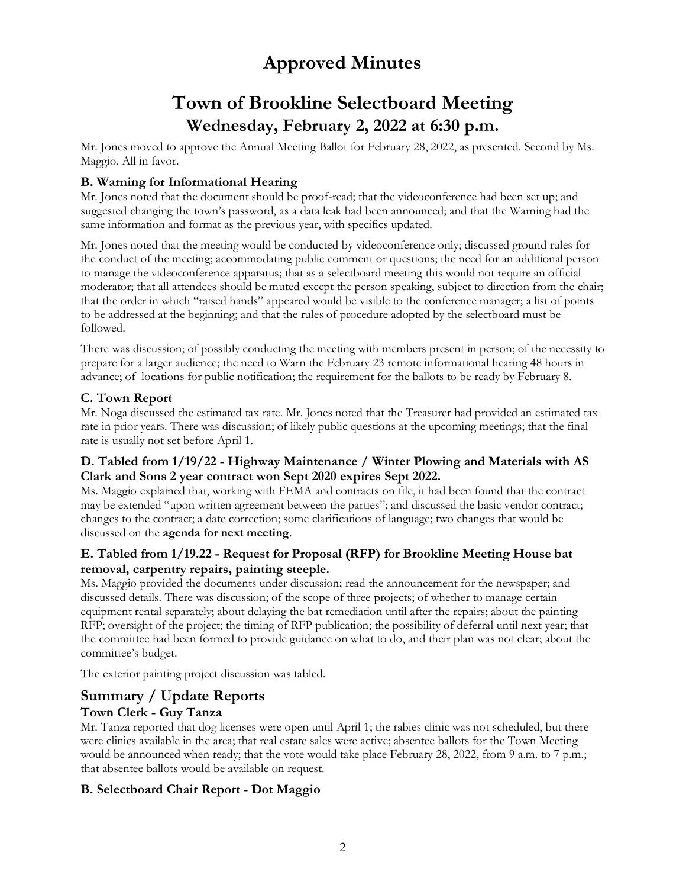# **Town of Brookline Selectboard Meeting Wednesday, February 2, 2022 at 6:30 p.m.**

Mr. Jones moved to approve the Annual Meeting Ballot for February 28, 2022, as presented. Second by Ms. Maggio. All in favor.

## **B. Warning for Informational Hearing**

Mr. Jones noted that the document should be proof-read; that the videoconference had been set up; and suggested changing the town's password, as a data leak had been announced; and that the Warning had the same information and format as the previous year, with specifics updated.

Mr. Jones noted that the meeting would be conducted by videoconference only; discussed ground rules for the conduct of the meeting; accommodating public comment or questions; the need for an additional person to manage the videoconference apparatus; that as a selectboard meeting this would not require an official moderator; that all attendees should be muted except the person speaking, subject to direction from the chair; that the order in which "raised hands" appeared would be visible to the conference manager; a list of points to be addressed at the beginning; and that the rules of procedure adopted by the selectboard must be followed.

There was discussion; of possibly conducting the meeting with members present in person; of the necessity to prepare for a larger audience; the need to Warn the February 23 remote informational hearing 48 hours in advance; of locations for public notification; the requirement for the ballots to be ready by February 8.

## **C. Town Report**

Mr. Noga discussed the estimated tax rate. Mr. Jones noted that the Treasurer had provided an estimated tax rate in prior years. There was discussion; of likely public questions at the upcoming meetings; that the final rate is usually not set before April 1.

## **D. Tabled from 1/19/22 - Highway Maintenance / Winter Plowing and Materials with AS Clark and Sons 2 year contract won Sept 2020 expires Sept 2022.**

Ms. Maggio explained that, working with FEMA and contracts on file, it had been found that the contract may be extended "upon written agreement between the parties"; and discussed the basic vendor contract; changes to the contract; a date correction; some clarifications of language; two changes that would be discussed on the **agenda for next meeting**.

## **E. Tabled from 1/19.22 - Request for Proposal (RFP) for Brookline Meeting House bat removal, carpentry repairs, painting steeple.**

Ms. Maggio provided the documents under discussion; read the announcement for the newspaper; and discussed details. There was discussion; of the scope of three projects; of whether to manage certain equipment rental separately; about delaying the bat remediation until after the repairs; about the painting RFP; oversight of the project; the timing of RFP publication; the possibility of deferral until next year; that the committee had been formed to provide guidance on what to do, and their plan was not clear; about the committee's budget.

The exterior painting project discussion was tabled.

## **Summary / Update Reports**

## **Town Clerk - Guy Tanza**

Mr. Tanza reported that dog licenses were open until April 1; the rabies clinic was not scheduled, but there were clinics available in the area; that real estate sales were active; absentee ballots for the Town Meeting would be announced when ready; that the vote would take place February 28, 2022, from 9 a.m. to 7 p.m.; that absentee ballots would be available on request.

## **B. Selectboard Chair Report - Dot Maggio**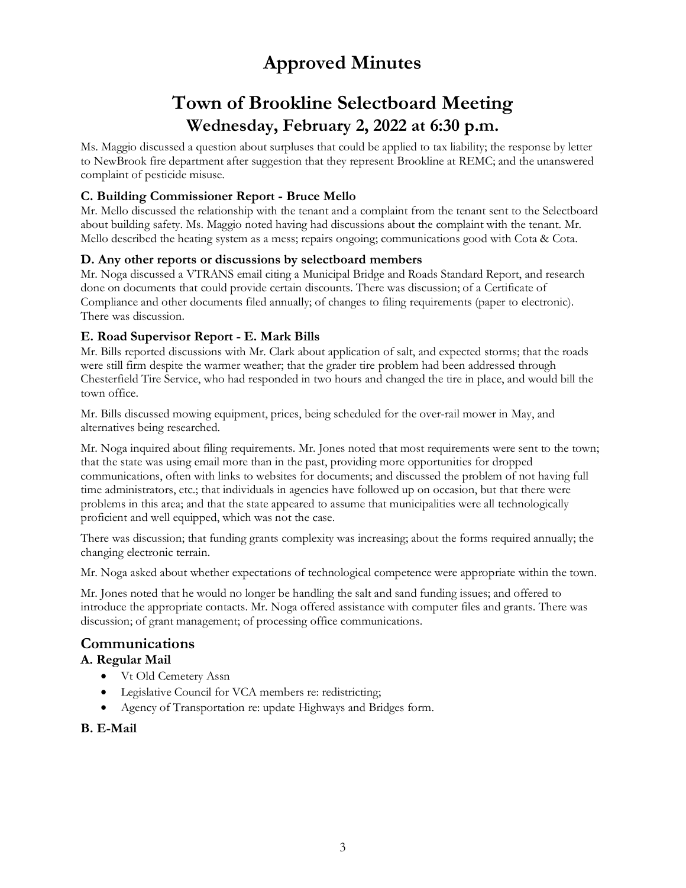# **Town of Brookline Selectboard Meeting Wednesday, February 2, 2022 at 6:30 p.m.**

Ms. Maggio discussed a question about surpluses that could be applied to tax liability; the response by letter to NewBrook fire department after suggestion that they represent Brookline at REMC; and the unanswered complaint of pesticide misuse.

## **C. Building Commissioner Report - Bruce Mello**

Mr. Mello discussed the relationship with the tenant and a complaint from the tenant sent to the Selectboard about building safety. Ms. Maggio noted having had discussions about the complaint with the tenant. Mr. Mello described the heating system as a mess; repairs ongoing; communications good with Cota & Cota.

## **D. Any other reports or discussions by selectboard members**

Mr. Noga discussed a VTRANS email citing a Municipal Bridge and Roads Standard Report, and research done on documents that could provide certain discounts. There was discussion; of a Certificate of Compliance and other documents filed annually; of changes to filing requirements (paper to electronic). There was discussion.

#### **E. Road Supervisor Report - E. Mark Bills**

Mr. Bills reported discussions with Mr. Clark about application of salt, and expected storms; that the roads were still firm despite the warmer weather; that the grader tire problem had been addressed through Chesterfield Tire Service, who had responded in two hours and changed the tire in place, and would bill the town office.

Mr. Bills discussed mowing equipment, prices, being scheduled for the over-rail mower in May, and alternatives being researched.

Mr. Noga inquired about filing requirements. Mr. Jones noted that most requirements were sent to the town; that the state was using email more than in the past, providing more opportunities for dropped communications, often with links to websites for documents; and discussed the problem of not having full time administrators, etc.; that individuals in agencies have followed up on occasion, but that there were problems in this area; and that the state appeared to assume that municipalities were all technologically proficient and well equipped, which was not the case.

There was discussion; that funding grants complexity was increasing; about the forms required annually; the changing electronic terrain.

Mr. Noga asked about whether expectations of technological competence were appropriate within the town.

Mr. Jones noted that he would no longer be handling the salt and sand funding issues; and offered to introduce the appropriate contacts. Mr. Noga offered assistance with computer files and grants. There was discussion; of grant management; of processing office communications.

## **Communications**

## **A. Regular Mail**

- Vt Old Cemetery Assn
- Legislative Council for VCA members re: redistricting;
- Agency of Transportation re: update Highways and Bridges form.

## **B. E-Mail**